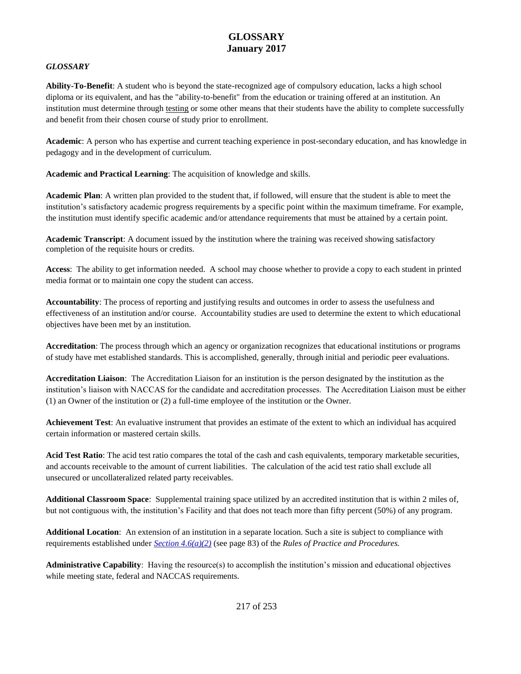#### *GLOSSARY*

**Ability-To-Benefit**: A student who is beyond the state-recognized age of compulsory education, lacks a high school diploma or its equivalent, and has the "ability-to-benefit" from the education or training offered at an institution. An institution must determine through testing or some other means that their students have the ability to complete successfully and benefit from their chosen course of study prior to enrollment.

**Academic**: A person who has expertise and current teaching experience in post-secondary education, and has knowledge in pedagogy and in the development of curriculum.

**Academic and Practical Learning**: The acquisition of knowledge and skills.

**Academic Plan**: A written plan provided to the student that, if followed, will ensure that the student is able to meet the institution's satisfactory academic progress requirements by a specific point within the maximum timeframe. For example, the institution must identify specific academic and/or attendance requirements that must be attained by a certain point.

**Academic Transcript**: A document issued by the institution where the training was received showing satisfactory completion of the requisite hours or credits.

**Access**: The ability to get information needed. A school may choose whether to provide a copy to each student in printed media format or to maintain one copy the student can access.

**Accountability**: The process of reporting and justifying results and outcomes in order to assess the usefulness and effectiveness of an institution and/or course. Accountability studies are used to determine the extent to which educational objectives have been met by an institution.

**Accreditation**: The process through which an agency or organization recognizes that educational institutions or programs of study have met established standards. This is accomplished, generally, through initial and periodic peer evaluations.

**Accreditation Liaison**: The Accreditation Liaison for an institution is the person designated by the institution as the institution's liaison with NACCAS for the candidate and accreditation processes. The Accreditation Liaison must be either (1) an Owner of the institution or (2) a full-time employee of the institution or the Owner.

**Achievement Test**: An evaluative instrument that provides an estimate of the extent to which an individual has acquired certain information or mastered certain skills.

**Acid Test Ratio**: The acid test ratio compares the total of the cash and cash equivalents, temporary marketable securities, and accounts receivable to the amount of current liabilities. The calculation of the acid test ratio shall exclude all unsecured or uncollateralized related party receivables.

**Additional Classroom Space**: Supplemental training space utilized by an accredited institution that is within 2 miles of, but not contiguous with, the institution's Facility and that does not teach more than fifty percent (50%) of any program.

**Additional Location**: An extension of an institution in a separate location. Such a site is subject to compliance with requirements established under *Section 4.6(a)(2)* (see page 83) of the *Rules of Practice and Procedures.*

**Administrative Capability**: Having the resource(s) to accomplish the institution's mission and educational objectives while meeting state, federal and NACCAS requirements.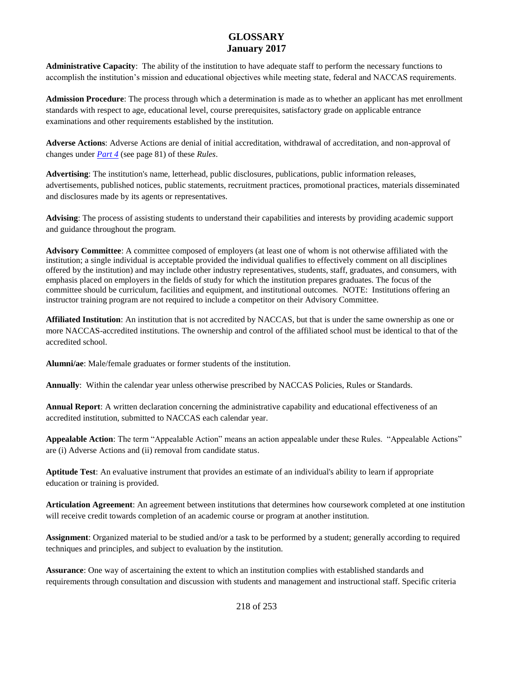**Administrative Capacity**: The ability of the institution to have adequate staff to perform the necessary functions to accomplish the institution's mission and educational objectives while meeting state, federal and NACCAS requirements.

**Admission Procedure**: The process through which a determination is made as to whether an applicant has met enrollment standards with respect to age, educational level, course prerequisites, satisfactory grade on applicable entrance examinations and other requirements established by the institution.

**Adverse Actions**: Adverse Actions are denial of initial accreditation, withdrawal of accreditation, and non-approval of changes under *Part 4* (see page 81) of these *Rules*.

**Advertising**: The institution's name, letterhead, public disclosures, publications, public information releases, advertisements, published notices, public statements, recruitment practices, promotional practices, materials disseminated and disclosures made by its agents or representatives.

**Advising**: The process of assisting students to understand their capabilities and interests by providing academic support and guidance throughout the program*.*

**Advisory Committee**: A committee composed of employers (at least one of whom is not otherwise affiliated with the institution; a single individual is acceptable provided the individual qualifies to effectively comment on all disciplines offered by the institution) and may include other industry representatives, students, staff, graduates, and consumers, with emphasis placed on employers in the fields of study for which the institution prepares graduates. The focus of the committee should be curriculum, facilities and equipment, and institutional outcomes. NOTE: Institutions offering an instructor training program are not required to include a competitor on their Advisory Committee.

**Affiliated Institution**: An institution that is not accredited by NACCAS, but that is under the same ownership as one or more NACCAS-accredited institutions. The ownership and control of the affiliated school must be identical to that of the accredited school.

**Alumni/ae**: Male/female graduates or former students of the institution.

**Annually**: Within the calendar year unless otherwise prescribed by NACCAS Policies, Rules or Standards.

**Annual Report**: A written declaration concerning the administrative capability and educational effectiveness of an accredited institution, submitted to NACCAS each calendar year.

**Appealable Action**: The term "Appealable Action" means an action appealable under these Rules. "Appealable Actions" are (i) Adverse Actions and (ii) removal from candidate status.

**Aptitude Test**: An evaluative instrument that provides an estimate of an individual's ability to learn if appropriate education or training is provided.

**Articulation Agreement**: An agreement between institutions that determines how coursework completed at one institution will receive credit towards completion of an academic course or program at another institution.

**Assignment**: Organized material to be studied and/or a task to be performed by a student; generally according to required techniques and principles, and subject to evaluation by the institution.

**Assurance**: One way of ascertaining the extent to which an institution complies with established standards and requirements through consultation and discussion with students and management and instructional staff. Specific criteria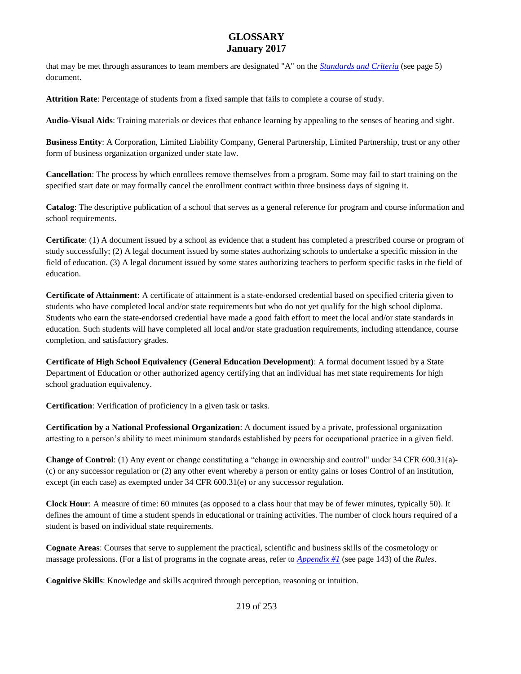that may be met through assurances to team members are designated "A" on the *Standards and Criteria* (see page 5) document.

**Attrition Rate**: Percentage of students from a fixed sample that fails to complete a course of study.

**Audio-Visual Aids**: Training materials or devices that enhance learning by appealing to the senses of hearing and sight.

**Business Entity**: A Corporation, Limited Liability Company, General Partnership, Limited Partnership, trust or any other form of business organization organized under state law.

**Cancellation**: The process by which enrollees remove themselves from a program. Some may fail to start training on the specified start date or may formally cancel the enrollment contract within three business days of signing it.

**Catalog**: The descriptive publication of a school that serves as a general reference for program and course information and school requirements.

**Certificate**: (1) A document issued by a school as evidence that a student has completed a prescribed course or program of study successfully; (2) A legal document issued by some states authorizing schools to undertake a specific mission in the field of education. (3) A legal document issued by some states authorizing teachers to perform specific tasks in the field of education.

**Certificate of Attainment**: A certificate of attainment is a state-endorsed credential based on specified criteria given to students who have completed local and/or state requirements but who do not yet qualify for the high school diploma. Students who earn the state-endorsed credential have made a good faith effort to meet the local and/or state standards in education. Such students will have completed all local and/or state graduation requirements, including attendance, course completion, and satisfactory grades.

**Certificate of High School Equivalency (General Education Development)**: A formal document issued by a State Department of Education or other authorized agency certifying that an individual has met state requirements for high school graduation equivalency.

**Certification**: Verification of proficiency in a given task or tasks.

**Certification by a National Professional Organization**: A document issued by a private, professional organization attesting to a person's ability to meet minimum standards established by peers for occupational practice in a given field.

**Change of Control**: (1) Any event or change constituting a "change in ownership and control" under 34 CFR 600.31(a)- (c) or any successor regulation or (2) any other event whereby a person or entity gains or loses Control of an institution, except (in each case) as exempted under 34 CFR 600.31(e) or any successor regulation.

**Clock Hour**: A measure of time: 60 minutes (as opposed to a class hour that may be of fewer minutes, typically 50). It defines the amount of time a student spends in educational or training activities. The number of clock hours required of a student is based on individual state requirements.

**Cognate Areas**: Courses that serve to supplement the practical, scientific and business skills of the cosmetology or massage professions. (For a list of programs in the cognate areas, refer to *Appendix #1* (see page 143) of the *Rules*.

**Cognitive Skills**: Knowledge and skills acquired through perception, reasoning or intuition.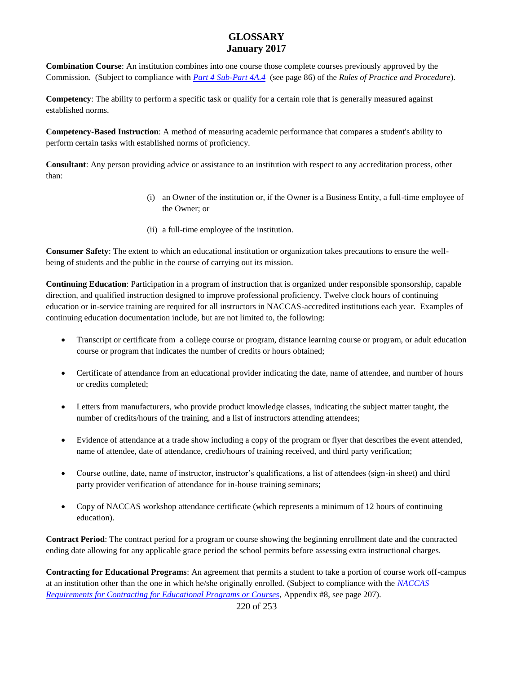**Combination Course**: An institution combines into one course those complete courses previously approved by the Commission. (Subject to compliance with *Part 4 Sub-Part 4A.4* (see page 86) of the *Rules of Practice and Procedure*).

**Competency**: The ability to perform a specific task or qualify for a certain role that is generally measured against established norms.

**Competency-Based Instruction**: A method of measuring academic performance that compares a student's ability to perform certain tasks with established norms of proficiency.

**Consultant**: Any person providing advice or assistance to an institution with respect to any accreditation process, other than:

- (i) an Owner of the institution or, if the Owner is a Business Entity, a full-time employee of the Owner; or
- (ii) a full-time employee of the institution.

**Consumer Safety**: The extent to which an educational institution or organization takes precautions to ensure the wellbeing of students and the public in the course of carrying out its mission.

**Continuing Education**: Participation in a program of instruction that is organized under responsible sponsorship, capable direction, and qualified instruction designed to improve professional proficiency. Twelve clock hours of continuing education or in-service training are required for all instructors in NACCAS-accredited institutions each year. Examples of continuing education documentation include, but are not limited to, the following:

- Transcript or certificate from a college course or program, distance learning course or program, or adult education course or program that indicates the number of credits or hours obtained;
- Certificate of attendance from an educational provider indicating the date, name of attendee, and number of hours or credits completed;
- Letters from manufacturers, who provide product knowledge classes, indicating the subject matter taught, the number of credits/hours of the training, and a list of instructors attending attendees;
- Evidence of attendance at a trade show including a copy of the program or flyer that describes the event attended, name of attendee, date of attendance, credit/hours of training received, and third party verification;
- Course outline, date, name of instructor, instructor's qualifications, a list of attendees (sign-in sheet) and third party provider verification of attendance for in-house training seminars;
- Copy of NACCAS workshop attendance certificate (which represents a minimum of 12 hours of continuing education).

**Contract Period**: The contract period for a program or course showing the beginning enrollment date and the contracted ending date allowing for any applicable grace period the school permits before assessing extra instructional charges.

**Contracting for Educational Programs**: An agreement that permits a student to take a portion of course work off-campus at an institution other than the one in which he/she originally enrolled. (Subject to compliance with the *NACCAS Requirements for Contracting for Educational Programs or Courses*, Appendix #8, see page 207).

220 of 253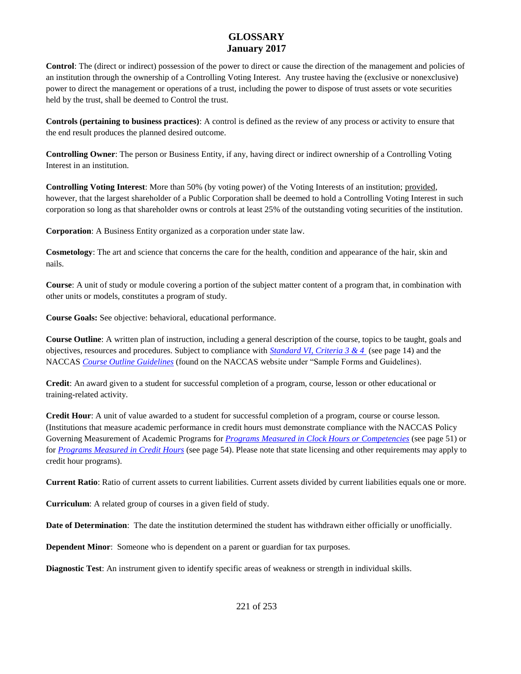**Control**: The (direct or indirect) possession of the power to direct or cause the direction of the management and policies of an institution through the ownership of a Controlling Voting Interest. Any trustee having the (exclusive or nonexclusive) power to direct the management or operations of a trust, including the power to dispose of trust assets or vote securities held by the trust, shall be deemed to Control the trust.

**Controls (pertaining to business practices)**: A control is defined as the review of any process or activity to ensure that the end result produces the planned desired outcome.

**Controlling Owner**: The person or Business Entity, if any, having direct or indirect ownership of a Controlling Voting Interest in an institution.

**Controlling Voting Interest**: More than 50% (by voting power) of the Voting Interests of an institution; provided, however, that the largest shareholder of a Public Corporation shall be deemed to hold a Controlling Voting Interest in such corporation so long as that shareholder owns or controls at least 25% of the outstanding voting securities of the institution.

**Corporation**: A Business Entity organized as a corporation under state law.

**Cosmetology**: The art and science that concerns the care for the health, condition and appearance of the hair, skin and nails.

**Course**: A unit of study or module covering a portion of the subject matter content of a program that, in combination with other units or models, constitutes a program of study.

**Course Goals:** See objective: behavioral, educational performance.

**Course Outline**: A written plan of instruction, including a general description of the course, topics to be taught, goals and objectives, resources and procedures. Subject to compliance with *Standard VI, Criteria 3 & 4* (see page 14) and the NACCAS *[Course Outline Guidelines](http://elibrary.naccas.org/InfoRouter/docs/Public/Website%20Menus/Applications%20and%20Forms/Other%20Key%20Documents/Sample%20Forms%20and%20Guidelines%20March%202014%20Final.pdf)* (found on the NACCAS website under "Sample Forms and Guidelines).

**Credit**: An award given to a student for successful completion of a program, course, lesson or other educational or training-related activity.

Credit Hour: A unit of value awarded to a student for successful completion of a program, course or course lesson. (Institutions that measure academic performance in credit hours must demonstrate compliance with the NACCAS Policy Governing Measurement of Academic Programs for *Programs Measured in Clock Hours or Competencies* (see page 51) or for *Programs Measured in Credit Hours* (see page 54). Please note that state licensing and other requirements may apply to credit hour programs).

**Current Ratio**: Ratio of current assets to current liabilities. Current assets divided by current liabilities equals one or more.

**Curriculum**: A related group of courses in a given field of study.

**Date of Determination**: The date the institution determined the student has withdrawn either officially or unofficially.

**Dependent Minor**: Someone who is dependent on a parent or guardian for tax purposes.

**Diagnostic Test**: An instrument given to identify specific areas of weakness or strength in individual skills.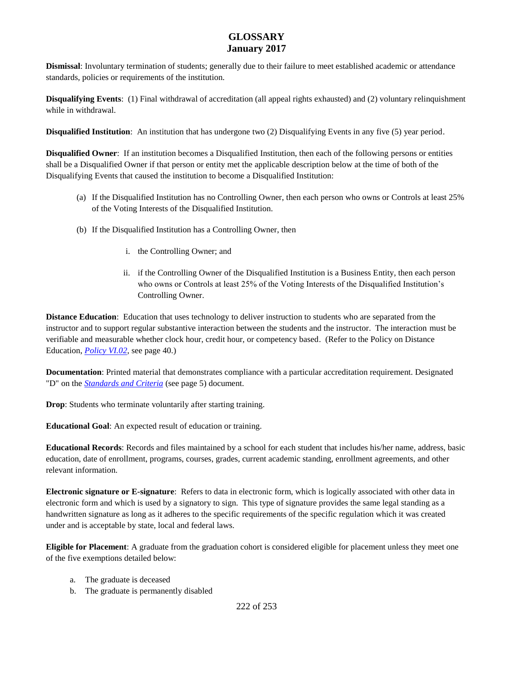**Dismissal**: Involuntary termination of students; generally due to their failure to meet established academic or attendance standards, policies or requirements of the institution.

**Disqualifying Events**: (1) Final withdrawal of accreditation (all appeal rights exhausted) and (2) voluntary relinquishment while in withdrawal.

**Disqualified Institution**: An institution that has undergone two (2) Disqualifying Events in any five (5) year period.

**Disqualified Owner**: If an institution becomes a Disqualified Institution, then each of the following persons or entities shall be a Disqualified Owner if that person or entity met the applicable description below at the time of both of the Disqualifying Events that caused the institution to become a Disqualified Institution:

- (a) If the Disqualified Institution has no Controlling Owner, then each person who owns or Controls at least 25% of the Voting Interests of the Disqualified Institution.
- (b) If the Disqualified Institution has a Controlling Owner, then
	- i. the Controlling Owner; and
	- ii. if the Controlling Owner of the Disqualified Institution is a Business Entity, then each person who owns or Controls at least 25% of the Voting Interests of the Disqualified Institution's Controlling Owner.

**Distance Education:** Education that uses technology to deliver instruction to students who are separated from the instructor and to support regular substantive interaction between the students and the instructor. The interaction must be verifiable and measurable whether clock hour, credit hour, or competency based. (Refer to the Policy on Distance Education, *Policy VI.02*, see page 40.)

**Documentation**: Printed material that demonstrates compliance with a particular accreditation requirement. Designated "D" on the *Standards and Criteria* (see page 5) document.

**Drop**: Students who terminate voluntarily after starting training.

**Educational Goal**: An expected result of education or training.

**Educational Records**: Records and files maintained by a school for each student that includes his/her name, address, basic education, date of enrollment, programs, courses, grades, current academic standing, enrollment agreements, and other relevant information.

**Electronic signature or E-signature**:Refers to data in electronic form, which is logically associated with other data in electronic form and which is used by a signatory to sign. This type of signature provides the same legal standing as a handwritten signature as long as it adheres to the specific requirements of the specific regulation which it was created under and is acceptable by state, local and federal laws.

**Eligible for Placement**: A graduate from the graduation cohort is considered eligible for placement unless they meet one of the five exemptions detailed below:

- a. The graduate is deceased
- b. The graduate is permanently disabled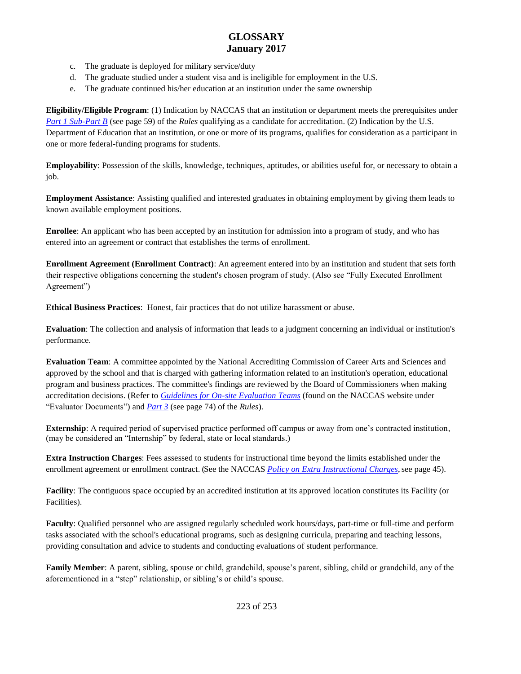- c. The graduate is deployed for military service/duty
- d. The graduate studied under a student visa and is ineligible for employment in the U.S.
- e. The graduate continued his/her education at an institution under the same ownership

**Eligibility/Eligible Program**: (1) Indication by NACCAS that an institution or department meets the prerequisites under *Part 1 Sub-Part B* (see page 59) of the *Rules* qualifying as a candidate for accreditation. (2) Indication by the U.S. Department of Education that an institution, or one or more of its programs, qualifies for consideration as a participant in one or more federal-funding programs for students.

**Employability**: Possession of the skills, knowledge, techniques, aptitudes, or abilities useful for, or necessary to obtain a job.

**Employment Assistance**: Assisting qualified and interested graduates in obtaining employment by giving them leads to known available employment positions.

**Enrollee**: An applicant who has been accepted by an institution for admission into a program of study, and who has entered into an agreement or contract that establishes the terms of enrollment.

**Enrollment Agreement (Enrollment Contract)**: An agreement entered into by an institution and student that sets forth their respective obligations concerning the student's chosen program of study. (Also see "Fully Executed Enrollment Agreement")

**Ethical Business Practices**: Honest, fair practices that do not utilize harassment or abuse.

**Evaluation**: The collection and analysis of information that leads to a judgment concerning an individual or institution's performance.

**Evaluation Team**: A committee appointed by the National Accrediting Commission of Career Arts and Sciences and approved by the school and that is charged with gathering information related to an institution's operation, educational program and business practices. The committee's findings are reviewed by the Board of Commissioners when making accreditation decisions. (Refer to *[Guidelines for On-site Evaluation Teams](http://naccas.org/naccas/sites/default/files/documents/evaluators/Guidelines%20for%20Onsite%20Evaluation%20Teams.pdf)* (found on the NACCAS website under "Evaluator Documents") and *Part 3* (see page 74) of the *Rules*).

**Externship**: A required period of supervised practice performed off campus or away from one's contracted institution, (may be considered an "Internship" by federal, state or local standards.)

**Extra Instruction Charges**: Fees assessed to students for instructional time beyond the limits established under the enrollment agreement or enrollment contract. (See the NACCAS *Policy on Extra Instructional Charges*, see page 45).

**Facility**: The contiguous space occupied by an accredited institution at its approved location constitutes its Facility (or Facilities).

**Faculty**: Qualified personnel who are assigned regularly scheduled work hours/days, part-time or full-time and perform tasks associated with the school's educational programs, such as designing curricula, preparing and teaching lessons, providing consultation and advice to students and conducting evaluations of student performance.

**Family Member**: A parent, sibling, spouse or child, grandchild, spouse's parent, sibling, child or grandchild, any of the aforementioned in a "step" relationship, or sibling's or child's spouse.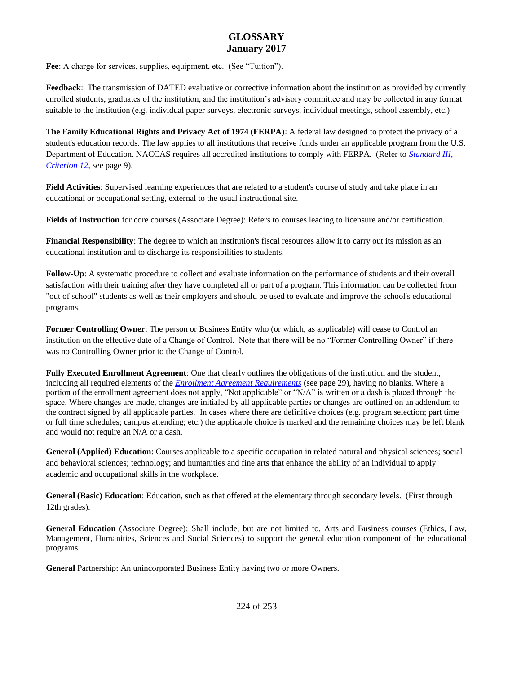Fee: A charge for services, supplies, equipment, etc. (See "Tuition").

**Feedback**: The transmission of DATED evaluative or corrective information about the institution as provided by currently enrolled students, graduates of the institution, and the institution's advisory committee and may be collected in any format suitable to the institution (e.g. individual paper surveys, electronic surveys, individual meetings, school assembly, etc.)

**The Family Educational Rights and Privacy Act of 1974 (FERPA)**: A federal law designed to protect the privacy of a student's education records. The law applies to all institutions that receive funds under an applicable program from the U.S. Department of Education. NACCAS requires all accredited institutions to comply with FERPA. (Refer to *Standard III, Criterion 12*, see page 9).

**Field Activities**: Supervised learning experiences that are related to a student's course of study and take place in an educational or occupational setting, external to the usual instructional site.

**Fields of Instruction** for core courses (Associate Degree): Refers to courses leading to licensure and/or certification.

**Financial Responsibility**: The degree to which an institution's fiscal resources allow it to carry out its mission as an educational institution and to discharge its responsibilities to students.

**Follow-Up**: A systematic procedure to collect and evaluate information on the performance of students and their overall satisfaction with their training after they have completed all or part of a program. This information can be collected from "out of school" students as well as their employers and should be used to evaluate and improve the school's educational programs.

**Former Controlling Owner**: The person or Business Entity who (or which, as applicable) will cease to Control an institution on the effective date of a Change of Control. Note that there will be no "Former Controlling Owner" if there was no Controlling Owner prior to the Change of Control.

**Fully Executed Enrollment Agreement**: One that clearly outlines the obligations of the institution and the student, including all required elements of the *Enrollment Agreement Requirements* (see page 29), having no blanks. Where a portion of the enrollment agreement does not apply, "Not applicable" or "N/A" is written or a dash is placed through the space. Where changes are made, changes are initialed by all applicable parties or changes are outlined on an addendum to the contract signed by all applicable parties. In cases where there are definitive choices (e.g. program selection; part time or full time schedules; campus attending; etc.) the applicable choice is marked and the remaining choices may be left blank and would not require an N/A or a dash.

**General (Applied) Education**: Courses applicable to a specific occupation in related natural and physical sciences; social and behavioral sciences; technology; and humanities and fine arts that enhance the ability of an individual to apply academic and occupational skills in the workplace.

**General (Basic) Education**: Education, such as that offered at the elementary through secondary levels. (First through 12th grades).

**General Education** (Associate Degree): Shall include, but are not limited to, Arts and Business courses (Ethics, Law, Management, Humanities, Sciences and Social Sciences) to support the general education component of the educational programs.

**General** Partnership: An unincorporated Business Entity having two or more Owners.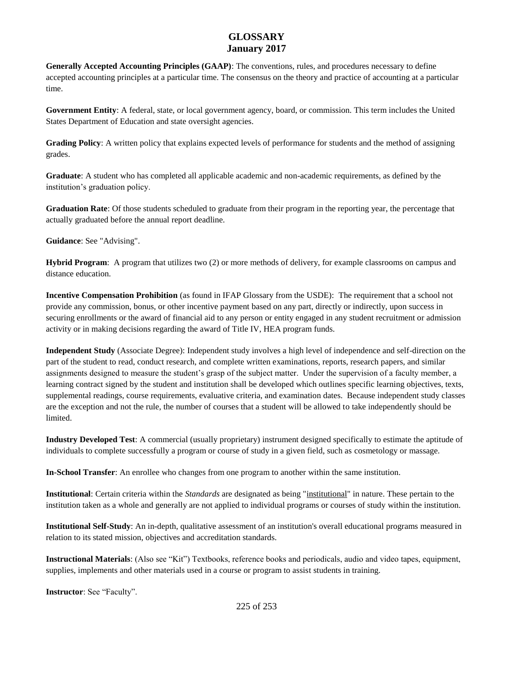**Generally Accepted Accounting Principles (GAAP)**: The conventions, rules, and procedures necessary to define accepted accounting principles at a particular time. The consensus on the theory and practice of accounting at a particular time.

**Government Entity**: A federal, state, or local government agency, board, or commission. This term includes the United States Department of Education and state oversight agencies.

**Grading Policy**: A written policy that explains expected levels of performance for students and the method of assigning grades.

**Graduate**: A student who has completed all applicable academic and non-academic requirements, as defined by the institution's graduation policy.

**Graduation Rate**: Of those students scheduled to graduate from their program in the reporting year, the percentage that actually graduated before the annual report deadline.

**Guidance**: See "Advising".

**Hybrid Program**: A program that utilizes two (2) or more methods of delivery, for example classrooms on campus and distance education.

**Incentive Compensation Prohibition** (as found in IFAP Glossary from the USDE): The requirement that a school not provide any commission, bonus, or other incentive payment based on any part, directly or indirectly, upon success in securing enrollments or the award of financial aid to any person or entity engaged in any student recruitment or admission activity or in making decisions regarding the award of Title IV, HEA program funds.

**Independent Study** (Associate Degree): Independent study involves a high level of independence and self-direction on the part of the student to read, conduct research, and complete written examinations, reports, research papers, and similar assignments designed to measure the student's grasp of the subject matter. Under the supervision of a faculty member, a learning contract signed by the student and institution shall be developed which outlines specific learning objectives, texts, supplemental readings, course requirements, evaluative criteria, and examination dates. Because independent study classes are the exception and not the rule, the number of courses that a student will be allowed to take independently should be limited.

**Industry Developed Test**: A commercial (usually proprietary) instrument designed specifically to estimate the aptitude of individuals to complete successfully a program or course of study in a given field, such as cosmetology or massage.

**In-School Transfer**: An enrollee who changes from one program to another within the same institution.

**Institutional**: Certain criteria within the *Standards* are designated as being "institutional" in nature. These pertain to the institution taken as a whole and generally are not applied to individual programs or courses of study within the institution.

**Institutional Self-Study**: An in-depth, qualitative assessment of an institution's overall educational programs measured in relation to its stated mission, objectives and accreditation standards.

**Instructional Materials**: (Also see "Kit") Textbooks, reference books and periodicals, audio and video tapes, equipment, supplies, implements and other materials used in a course or program to assist students in training.

**Instructor**: See "Faculty".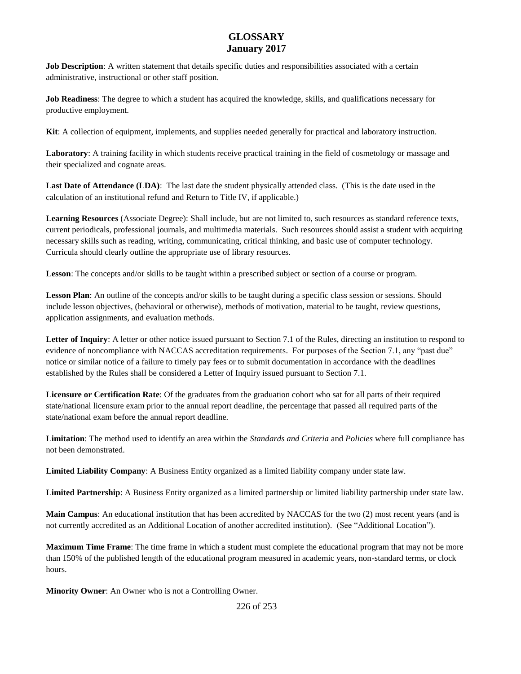**Job Description**: A written statement that details specific duties and responsibilities associated with a certain administrative, instructional or other staff position.

**Job Readiness**: The degree to which a student has acquired the knowledge, skills, and qualifications necessary for productive employment.

**Kit**: A collection of equipment, implements, and supplies needed generally for practical and laboratory instruction.

**Laboratory**: A training facility in which students receive practical training in the field of cosmetology or massage and their specialized and cognate areas.

**Last Date of Attendance (LDA)**: The last date the student physically attended class. (This is the date used in the calculation of an institutional refund and Return to Title IV, if applicable.)

**Learning Resources** (Associate Degree): Shall include, but are not limited to, such resources as standard reference texts, current periodicals, professional journals, and multimedia materials. Such resources should assist a student with acquiring necessary skills such as reading, writing, communicating, critical thinking, and basic use of computer technology. Curricula should clearly outline the appropriate use of library resources.

**Lesson**: The concepts and/or skills to be taught within a prescribed subject or section of a course or program.

**Lesson Plan**: An outline of the concepts and/or skills to be taught during a specific class session or sessions. Should include lesson objectives, (behavioral or otherwise), methods of motivation, material to be taught, review questions, application assignments, and evaluation methods.

Letter of Inquiry: A letter or other notice issued pursuant to Section 7.1 of the Rules, directing an institution to respond to evidence of noncompliance with NACCAS accreditation requirements. For purposes of the Section 7.1, any "past due" notice or similar notice of a failure to timely pay fees or to submit documentation in accordance with the deadlines established by the Rules shall be considered a Letter of Inquiry issued pursuant to Section 7.1.

**Licensure or Certification Rate**: Of the graduates from the graduation cohort who sat for all parts of their required state/national licensure exam prior to the annual report deadline, the percentage that passed all required parts of the state/national exam before the annual report deadline.

**Limitation**: The method used to identify an area within the *Standards and Criteria* and *Policies* where full compliance has not been demonstrated.

**Limited Liability Company**: A Business Entity organized as a limited liability company under state law.

**Limited Partnership**: A Business Entity organized as a limited partnership or limited liability partnership under state law.

**Main Campus**: An educational institution that has been accredited by NACCAS for the two (2) most recent years (and is not currently accredited as an Additional Location of another accredited institution). (See "Additional Location").

**Maximum Time Frame**: The time frame in which a student must complete the educational program that may not be more than 150% of the published length of the educational program measured in academic years, non-standard terms, or clock hours.

**Minority Owner**: An Owner who is not a Controlling Owner.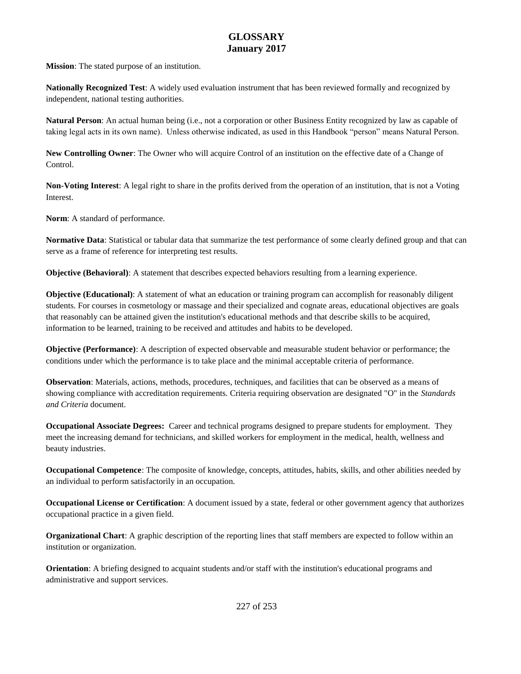**Mission**: The stated purpose of an institution.

**Nationally Recognized Test**: A widely used evaluation instrument that has been reviewed formally and recognized by independent, national testing authorities.

**Natural Person**: An actual human being (i.e., not a corporation or other Business Entity recognized by law as capable of taking legal acts in its own name). Unless otherwise indicated, as used in this Handbook "person" means Natural Person.

**New Controlling Owner**: The Owner who will acquire Control of an institution on the effective date of a Change of Control.

**Non-Voting Interest**: A legal right to share in the profits derived from the operation of an institution, that is not a Voting Interest.

**Norm**: A standard of performance.

**Normative Data**: Statistical or tabular data that summarize the test performance of some clearly defined group and that can serve as a frame of reference for interpreting test results.

**Objective (Behavioral)**: A statement that describes expected behaviors resulting from a learning experience.

**Objective (Educational)**: A statement of what an education or training program can accomplish for reasonably diligent students. For courses in cosmetology or massage and their specialized and cognate areas, educational objectives are goals that reasonably can be attained given the institution's educational methods and that describe skills to be acquired, information to be learned, training to be received and attitudes and habits to be developed.

**Objective (Performance)**: A description of expected observable and measurable student behavior or performance; the conditions under which the performance is to take place and the minimal acceptable criteria of performance.

**Observation**: Materials, actions, methods, procedures, techniques, and facilities that can be observed as a means of showing compliance with accreditation requirements. Criteria requiring observation are designated "O" in the *Standards and Criteria* document.

**Occupational Associate Degrees:** Career and technical programs designed to prepare students for employment. They meet the increasing demand for technicians, and skilled workers for employment in the medical, health, wellness and beauty industries.

**Occupational Competence**: The composite of knowledge, concepts, attitudes, habits, skills, and other abilities needed by an individual to perform satisfactorily in an occupation.

**Occupational License or Certification**: A document issued by a state, federal or other government agency that authorizes occupational practice in a given field.

**Organizational Chart**: A graphic description of the reporting lines that staff members are expected to follow within an institution or organization.

**Orientation**: A briefing designed to acquaint students and/or staff with the institution's educational programs and administrative and support services.

227 of 253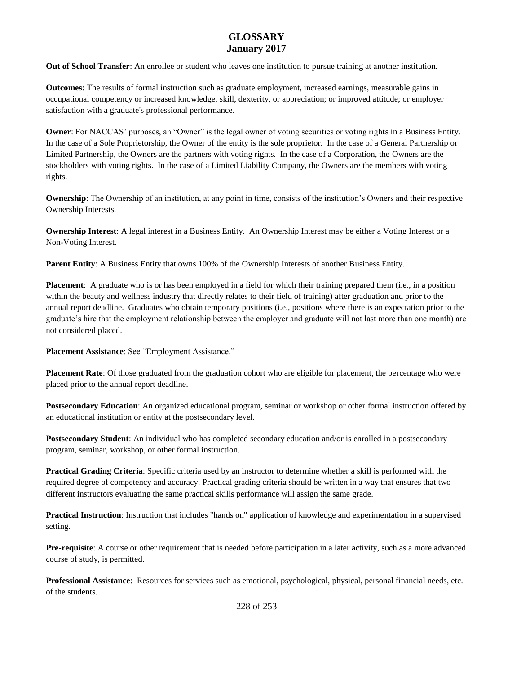**Out of School Transfer**: An enrollee or student who leaves one institution to pursue training at another institution.

**Outcomes**: The results of formal instruction such as graduate employment, increased earnings, measurable gains in occupational competency or increased knowledge, skill, dexterity, or appreciation; or improved attitude; or employer satisfaction with a graduate's professional performance.

**Owner**: For NACCAS' purposes, an "Owner" is the legal owner of voting securities or voting rights in a Business Entity. In the case of a Sole Proprietorship, the Owner of the entity is the sole proprietor. In the case of a General Partnership or Limited Partnership, the Owners are the partners with voting rights. In the case of a Corporation, the Owners are the stockholders with voting rights. In the case of a Limited Liability Company, the Owners are the members with voting rights.

**Ownership**: The Ownership of an institution, at any point in time, consists of the institution's Owners and their respective Ownership Interests.

**Ownership Interest:** A legal interest in a Business Entity. An Ownership Interest may be either a Voting Interest or a Non-Voting Interest.

**Parent Entity**: A Business Entity that owns 100% of the Ownership Interests of another Business Entity.

**Placement**: A graduate who is or has been employed in a field for which their training prepared them (i.e., in a position within the beauty and wellness industry that directly relates to their field of training) after graduation and prior to the annual report deadline. Graduates who obtain temporary positions (i.e., positions where there is an expectation prior to the graduate's hire that the employment relationship between the employer and graduate will not last more than one month) are not considered placed.

**Placement Assistance**: See "Employment Assistance."

**Placement Rate**: Of those graduated from the graduation cohort who are eligible for placement, the percentage who were placed prior to the annual report deadline.

**Postsecondary Education**: An organized educational program, seminar or workshop or other formal instruction offered by an educational institution or entity at the postsecondary level.

**Postsecondary Student**: An individual who has completed secondary education and/or is enrolled in a postsecondary program, seminar, workshop, or other formal instruction.

**Practical Grading Criteria**: Specific criteria used by an instructor to determine whether a skill is performed with the required degree of competency and accuracy. Practical grading criteria should be written in a way that ensures that two different instructors evaluating the same practical skills performance will assign the same grade.

**Practical Instruction**: Instruction that includes "hands on" application of knowledge and experimentation in a supervised setting.

**Pre-requisite**: A course or other requirement that is needed before participation in a later activity, such as a more advanced course of study, is permitted.

**Professional Assistance**: Resources for services such as emotional, psychological, physical, personal financial needs, etc. of the students.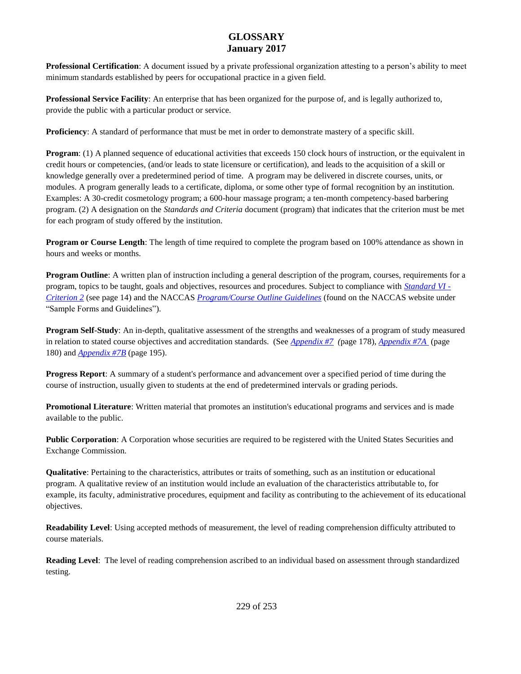**Professional Certification**: A document issued by a private professional organization attesting to a person's ability to meet minimum standards established by peers for occupational practice in a given field.

**Professional Service Facility**: An enterprise that has been organized for the purpose of, and is legally authorized to, provide the public with a particular product or service.

**Proficiency**: A standard of performance that must be met in order to demonstrate mastery of a specific skill.

**Program**: (1) A planned sequence of educational activities that exceeds 150 clock hours of instruction, or the equivalent in credit hours or competencies, (and/or leads to state licensure or certification), and leads to the acquisition of a skill or knowledge generally over a predetermined period of time. A program may be delivered in discrete courses, units, or modules. A program generally leads to a certificate, diploma, or some other type of formal recognition by an institution. Examples: A 30-credit cosmetology program; a 600-hour massage program; a ten-month competency-based barbering program. (2) A designation on the *Standards and Criteria* document (program) that indicates that the criterion must be met for each program of study offered by the institution.

**Program or Course Length**: The length of time required to complete the program based on 100% attendance as shown in hours and weeks or months.

**Program Outline**: A written plan of instruction including a general description of the program, courses, requirements for a program, topics to be taught, goals and objectives, resources and procedures. Subject to compliance with *Standard VI - Criterion 2* (see page 14) and the NACCAS *[Program/Course Outline Guidelines](http://elibrary.naccas.org/InfoRouter/docs/Public/Website%20Menus/Applications%20and%20Forms/Other%20Key%20Documents/Sample%20Forms%20and%20Guidelines%20March%202014%20Final.pdf)* (found on the NACCAS website under "Sample Forms and Guidelines").

**Program Self-Study**: An in-depth, qualitative assessment of the strengths and weaknesses of a program of study measured in relation to stated course objectives and accreditation standards. (See *Appendix #7 (*page 178), *Appendix #7A* (page 180) and *Appendix #7B* (page 195).

**Progress Report**: A summary of a student's performance and advancement over a specified period of time during the course of instruction, usually given to students at the end of predetermined intervals or grading periods.

**Promotional Literature**: Written material that promotes an institution's educational programs and services and is made available to the public.

**Public Corporation**: A Corporation whose securities are required to be registered with the United States Securities and Exchange Commission.

**Qualitative**: Pertaining to the characteristics, attributes or traits of something, such as an institution or educational program. A qualitative review of an institution would include an evaluation of the characteristics attributable to, for example, its faculty, administrative procedures, equipment and facility as contributing to the achievement of its educational objectives.

**Readability Level**: Using accepted methods of measurement, the level of reading comprehension difficulty attributed to course materials.

**Reading Level**: The level of reading comprehension ascribed to an individual based on assessment through standardized testing.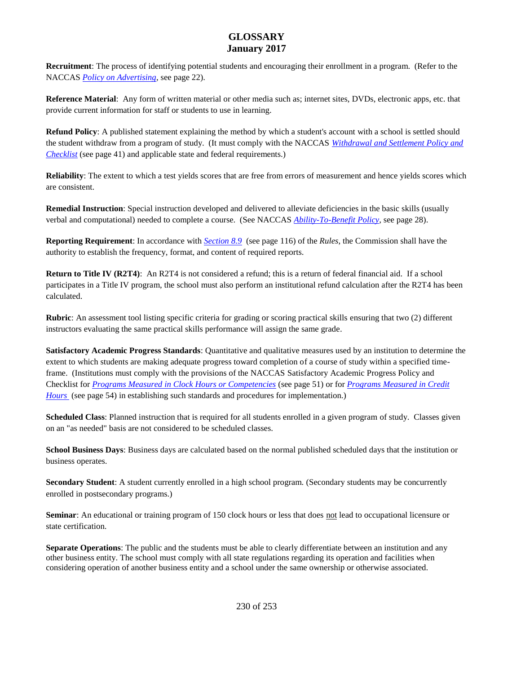**Recruitment**: The process of identifying potential students and encouraging their enrollment in a program. (Refer to the NACCAS *Policy on Advertising*, see page 22).

**Reference Material**: Any form of written material or other media such as; internet sites, DVDs, electronic apps, etc. that provide current information for staff or students to use in learning.

**Refund Policy**: A published statement explaining the method by which a student's account with a school is settled should the student withdraw from a program of study. (It must comply with the NACCAS *Withdrawal and Settlement Policy and Checklist* (see page 41) and applicable state and federal requirements.)

**Reliability**: The extent to which a test yields scores that are free from errors of measurement and hence yields scores which are consistent.

**Remedial Instruction**: Special instruction developed and delivered to alleviate deficiencies in the basic skills (usually verbal and computational) needed to complete a course. (See NACCAS *Ability-To-Benefit Policy,* see page 28).

**Reporting Requirement**: In accordance with *Section 8.9* (see page 116) of the *Rules*, the Commission shall have the authority to establish the frequency, format, and content of required reports.

**Return to Title IV (R2T4)**: An R2T4 is not considered a refund; this is a return of federal financial aid. If a school participates in a Title IV program, the school must also perform an institutional refund calculation after the R2T4 has been calculated.

**Rubric**: An assessment tool listing specific criteria for grading or scoring practical skills ensuring that two (2) different instructors evaluating the same practical skills performance will assign the same grade.

**Satisfactory Academic Progress Standards**: Quantitative and qualitative measures used by an institution to determine the extent to which students are making adequate progress toward completion of a course of study within a specified timeframe. (Institutions must comply with the provisions of the NACCAS Satisfactory Academic Progress Policy and Checklist for *Programs Measured in Clock Hours or Competencies* (see page 51) or for *Programs Measured in Credit Hours* (see page 54) in establishing such standards and procedures for implementation.)

**Scheduled Class**: Planned instruction that is required for all students enrolled in a given program of study. Classes given on an "as needed" basis are not considered to be scheduled classes.

**School Business Days**: Business days are calculated based on the normal published scheduled days that the institution or business operates.

**Secondary Student**: A student currently enrolled in a high school program. (Secondary students may be concurrently enrolled in postsecondary programs.)

**Seminar**: An educational or training program of 150 clock hours or less that does not lead to occupational licensure or state certification.

**Separate Operations**: The public and the students must be able to clearly differentiate between an institution and any other business entity. The school must comply with all state regulations regarding its operation and facilities when considering operation of another business entity and a school under the same ownership or otherwise associated.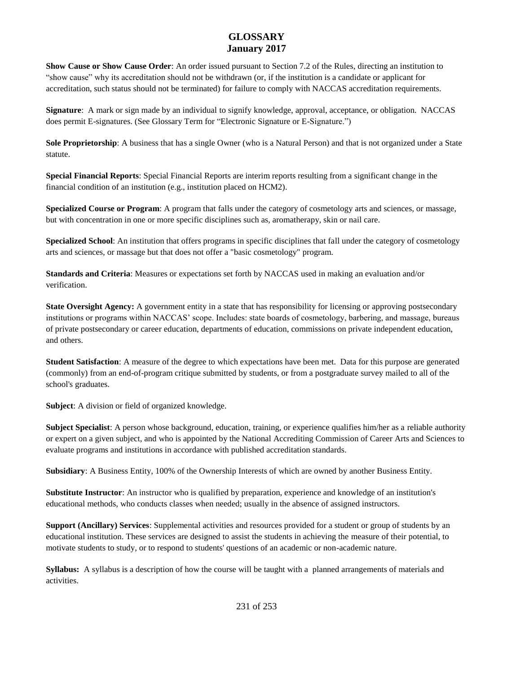**Show Cause or Show Cause Order**: An order issued pursuant to Section 7.2 of the Rules, directing an institution to "show cause" why its accreditation should not be withdrawn (or, if the institution is a candidate or applicant for accreditation, such status should not be terminated) for failure to comply with NACCAS accreditation requirements.

**Signature**: A mark or sign made by an individual to signify knowledge, approval, acceptance, or obligation. NACCAS does permit E-signatures. (See Glossary Term for "Electronic Signature or E-Signature.")

**Sole Proprietorship**: A business that has a single Owner (who is a Natural Person) and that is not organized under a State statute.

**Special Financial Reports**: Special Financial Reports are interim reports resulting from a significant change in the financial condition of an institution (e.g., institution placed on HCM2).

**Specialized Course or Program**: A program that falls under the category of cosmetology arts and sciences, or massage, but with concentration in one or more specific disciplines such as, aromatherapy, skin or nail care.

**Specialized School**: An institution that offers programs in specific disciplines that fall under the category of cosmetology arts and sciences, or massage but that does not offer a "basic cosmetology" program.

**Standards and Criteria**: Measures or expectations set forth by NACCAS used in making an evaluation and/or verification.

**State Oversight Agency:** A government entity in a state that has responsibility for licensing or approving postsecondary institutions or programs within NACCAS' scope. Includes: state boards of cosmetology, barbering, and massage, bureaus of private postsecondary or career education, departments of education, commissions on private independent education, and others.

**Student Satisfaction**: A measure of the degree to which expectations have been met. Data for this purpose are generated (commonly) from an end-of-program critique submitted by students, or from a postgraduate survey mailed to all of the school's graduates.

**Subject**: A division or field of organized knowledge.

**Subject Specialist**: A person whose background, education, training, or experience qualifies him/her as a reliable authority or expert on a given subject, and who is appointed by the National Accrediting Commission of Career Arts and Sciences to evaluate programs and institutions in accordance with published accreditation standards.

**Subsidiary**: A Business Entity, 100% of the Ownership Interests of which are owned by another Business Entity.

**Substitute Instructor**: An instructor who is qualified by preparation, experience and knowledge of an institution's educational methods, who conducts classes when needed; usually in the absence of assigned instructors.

**Support (Ancillary) Services**: Supplemental activities and resources provided for a student or group of students by an educational institution. These services are designed to assist the students in achieving the measure of their potential, to motivate students to study, or to respond to students' questions of an academic or non-academic nature.

**Syllabus:** A syllabus is a description of how the course will be taught with a planned arrangements of materials and activities.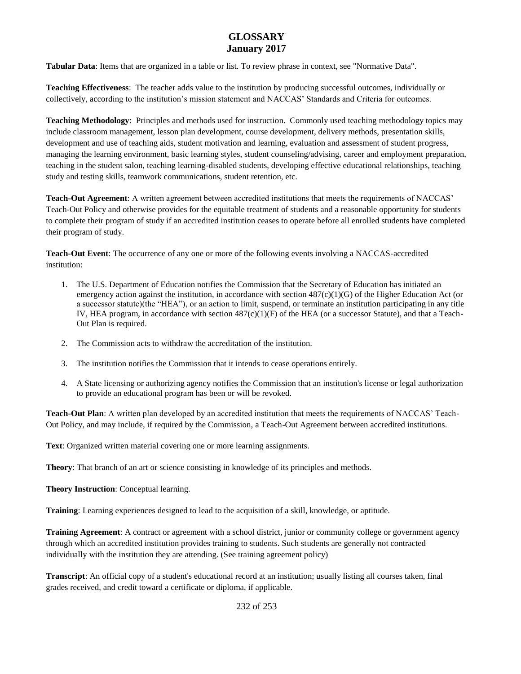**Tabular Data**: Items that are organized in a table or list. To review phrase in context, see "Normative Data".

**Teaching Effectiveness**: The teacher adds value to the institution by producing successful outcomes, individually or collectively, according to the institution's mission statement and NACCAS' Standards and Criteria for outcomes.

**Teaching Methodology**: Principles and methods used for instruction. Commonly used teaching methodology topics may include classroom management, lesson plan development, course development, delivery methods, presentation skills, development and use of teaching aids, student motivation and learning, evaluation and assessment of student progress, managing the learning environment, basic learning styles, student counseling/advising, career and employment preparation, teaching in the student salon, teaching learning-disabled students, developing effective educational relationships, teaching study and testing skills, teamwork communications, student retention, etc.

**Teach-Out Agreement**: A written agreement between accredited institutions that meets the requirements of NACCAS' Teach-Out Policy and otherwise provides for the equitable treatment of students and a reasonable opportunity for students to complete their program of study if an accredited institution ceases to operate before all enrolled students have completed their program of study.

**Teach-Out Event**: The occurrence of any one or more of the following events involving a NACCAS-accredited institution:

- 1. The U.S. Department of Education notifies the Commission that the Secretary of Education has initiated an emergency action against the institution, in accordance with section  $487(c)(1)(G)$  of the Higher Education Act (or a successor statute)(the "HEA"), or an action to limit, suspend, or terminate an institution participating in any title IV, HEA program, in accordance with section 487(c)(1)(F) of the HEA (or a successor Statute), and that a Teach-Out Plan is required.
- 2. The Commission acts to withdraw the accreditation of the institution.
- 3. The institution notifies the Commission that it intends to cease operations entirely.
- 4. A State licensing or authorizing agency notifies the Commission that an institution's license or legal authorization to provide an educational program has been or will be revoked.

**Teach-Out Plan**: A written plan developed by an accredited institution that meets the requirements of NACCAS' Teach-Out Policy, and may include, if required by the Commission, a Teach-Out Agreement between accredited institutions.

**Text**: Organized written material covering one or more learning assignments.

**Theory**: That branch of an art or science consisting in knowledge of its principles and methods.

**Theory Instruction**: Conceptual learning.

**Training**: Learning experiences designed to lead to the acquisition of a skill, knowledge, or aptitude.

**Training Agreement**: A contract or agreement with a school district, junior or community college or government agency through which an accredited institution provides training to students. Such students are generally not contracted individually with the institution they are attending. (See training agreement policy)

**Transcript**: An official copy of a student's educational record at an institution; usually listing all courses taken, final grades received, and credit toward a certificate or diploma, if applicable.

232 of 253